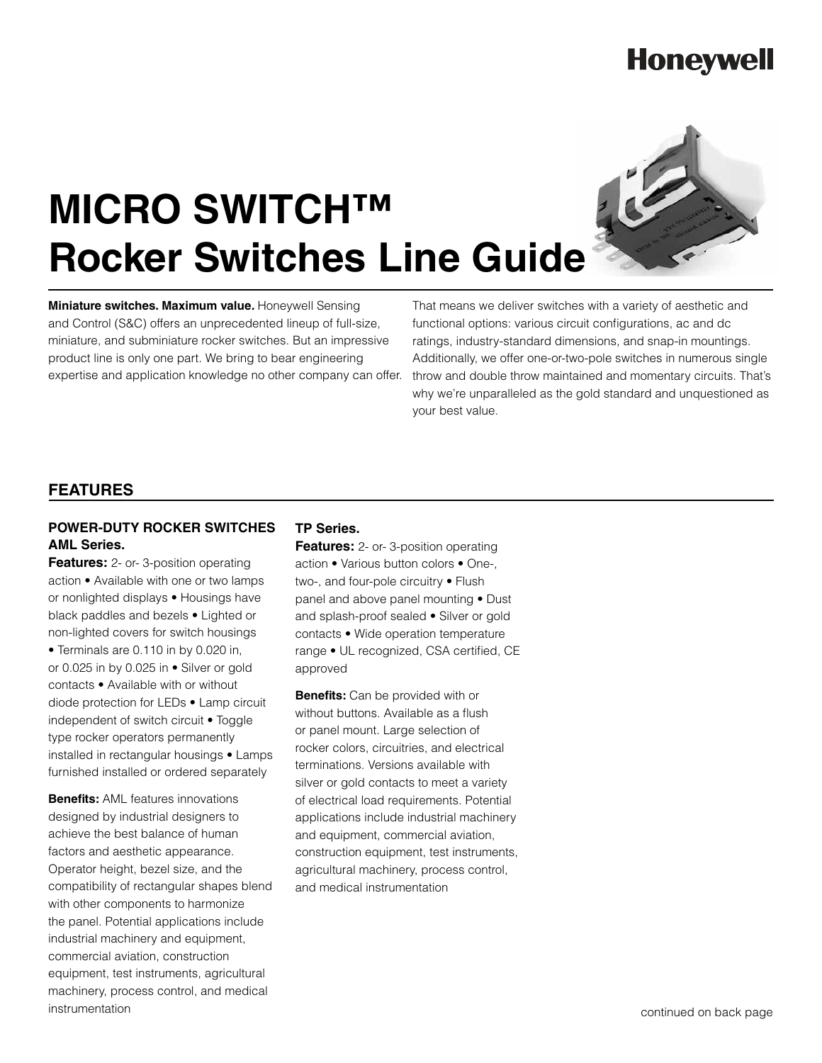## **Honeywell**

# **MICRO SWITCH™ Rocker Switches Line Guide**



That means we deliver switches with a variety of aesthetic and functional options: various circuit configurations, ac and dc ratings, industry-standard dimensions, and snap-in mountings. Additionally, we offer one-or-two-pole switches in numerous single throw and double throw maintained and momentary circuits. That's why we're unparalleled as the gold standard and unquestioned as your best value.

#### **FEATURES**

#### **POWER-DUTY ROCKER SWITCHES AML Series.**

**Features:** 2- or-3-position operating action • Available with one or two lamps or nonlighted displays • Housings have black paddles and bezels • Lighted or non-lighted covers for switch housings • Terminals are 0.110 in by 0.020 in, or 0.025 in by 0.025 in • Silver or gold contacts • Available with or without diode protection for LEDs • Lamp circuit independent of switch circuit • Toggle type rocker operators permanently installed in rectangular housings • Lamps furnished installed or ordered separately

**Benefits:** AML features innovations designed by industrial designers to achieve the best balance of human factors and aesthetic appearance. Operator height, bezel size, and the compatibility of rectangular shapes blend with other components to harmonize the panel. Potential applications include industrial machinery and equipment, commercial aviation, construction equipment, test instruments, agricultural machinery, process control, and medical instrumentation

#### **TP Series.**

**Features:** 2- or-3-position operating action • Various button colors • One-, two-, and four-pole circuitry • Flush panel and above panel mounting • Dust and splash-proof sealed • Silver or gold contacts • Wide operation temperature range • UL recognized, CSA certified, CE approved

**Benefits:** Can be provided with or without buttons. Available as a flush or panel mount. Large selection of rocker colors, circuitries, and electrical terminations. Versions available with silver or gold contacts to meet a variety of electrical load requirements. Potential applications include industrial machinery and equipment, commercial aviation, construction equipment, test instruments, agricultural machinery, process control, and medical instrumentation

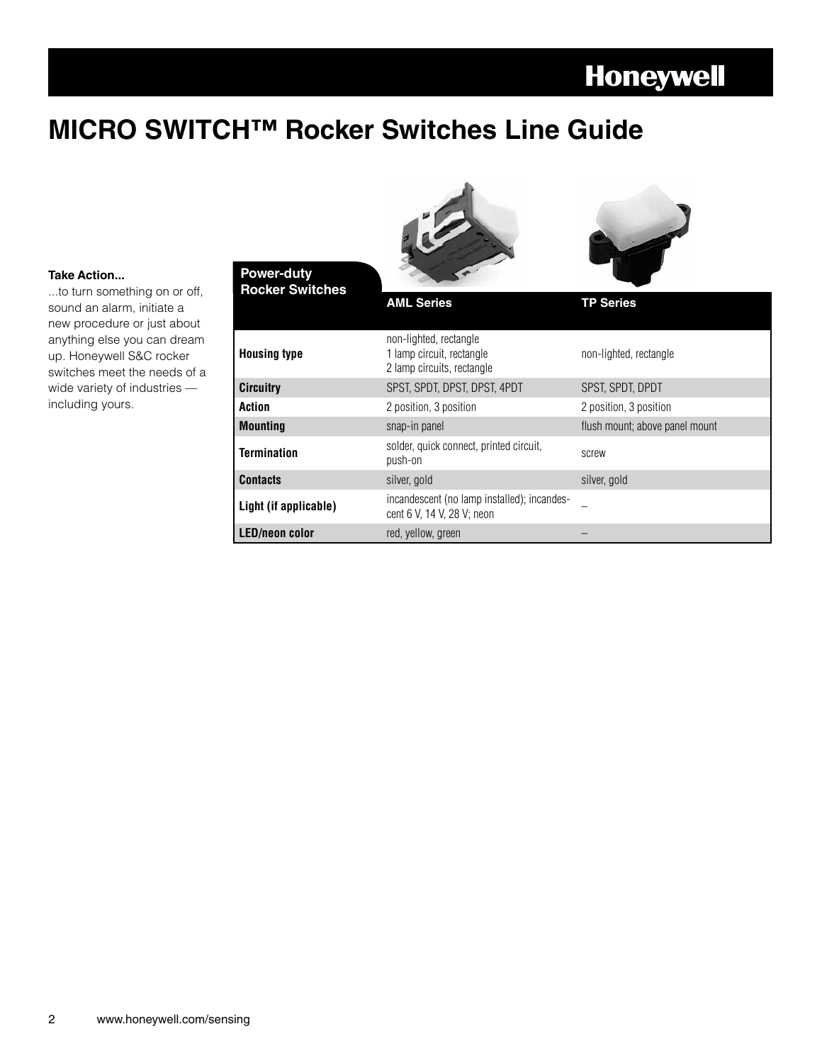### **Honeywell**

### **MICRO SWITCH™ Rocker Switches Line Guide**

#### **Take Action...**

...to turn something on or off, sound an alarm, initiate a new procedure or just about anything else you can dream up. Honeywell S&C rocker switches meet the needs of a wide variety of industries including yours.

| <b>Power-duty</b><br><b>Rocker Switches</b> |                                                                                   |                                |
|---------------------------------------------|-----------------------------------------------------------------------------------|--------------------------------|
|                                             | <b>AML Series</b>                                                                 | <b>TP Series</b>               |
| <b>Housing type</b>                         | non-lighted, rectangle<br>1 lamp circuit, rectangle<br>2 lamp circuits, rectangle | non-lighted, rectangle         |
| <b>Circuitry</b>                            | SPST, SPDT, DPST, DPST, 4PDT                                                      | SPST, SPDT, DPDT               |
| Action                                      | 2 position, 3 position                                                            | 2 position, 3 position         |
| <b>Mounting</b>                             | snap-in panel                                                                     | flush mount; above panel mount |
| Termination                                 | solder, quick connect, printed circuit,<br>push-on                                | screw                          |
| <b>Contacts</b>                             | silver, gold                                                                      | silver, gold                   |
| Light (if applicable)                       | incandescent (no lamp installed); incandes-<br>cent 6 V, 14 V, 28 V; neon         |                                |
| <b>LED/neon color</b>                       | red, yellow, green                                                                |                                |